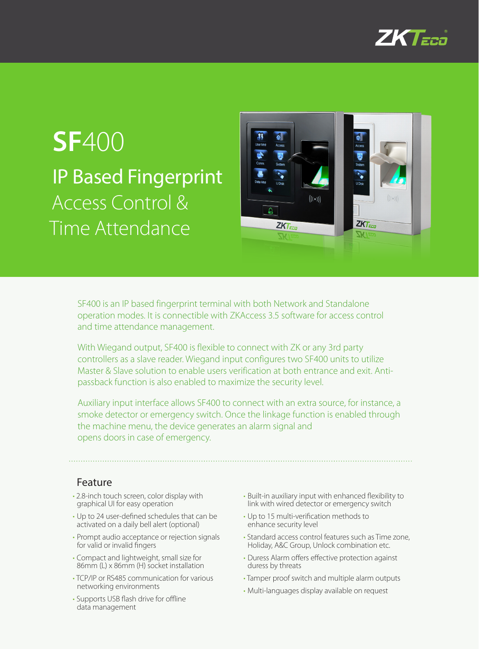

# **SF**400 IP Based Fingerprint Access Control & Time Attendance



SF400 is an IP based fingerprint terminal with both Network and Standalone operation modes. It is connectible with ZKAccess 3.5 software for access control and time attendance management.

With Wiegand output, SF400 is flexible to connect with ZK or any 3rd party controllers as a slave reader. Wiegand input configures two SF400 units to utilize Master & Slave solution to enable users verification at both entrance and exit. Antipassback function is also enabled to maximize the security level.

Auxiliary input interface allows SF400 to connect with an extra source, for instance, a smoke detector or emergency switch. Once the linkage function is enabled through the machine menu, the device generates an alarm signal and opens doors in case of emergency.

#### Feature

- 2.8-inch touch screen, color display with graphical UI for easy operation
- Up to 24 user-defined schedules that can be activated on a daily bell alert (optional)
- Prompt audio acceptance or rejection signals for valid or invalid fingers
- • Compact and lightweight, small size for 86mm (L) x 86mm (H) socket installation
- TCP/IP or RS485 communication for various networking environments
- Supports USB flash drive for offline data management
- • Built-in auxiliary input with enhanced flexibility to link with wired detector or emergency switch
- • Up to 15 multi-verification methods to enhance security level
- Standard access control features such as Time zone, Holiday, A&C Group, Unlock combination etc.
- Duress Alarm offers effective protection against duress by threats
- Tamper proof switch and multiple alarm outputs
- • Multi-languages display available on request